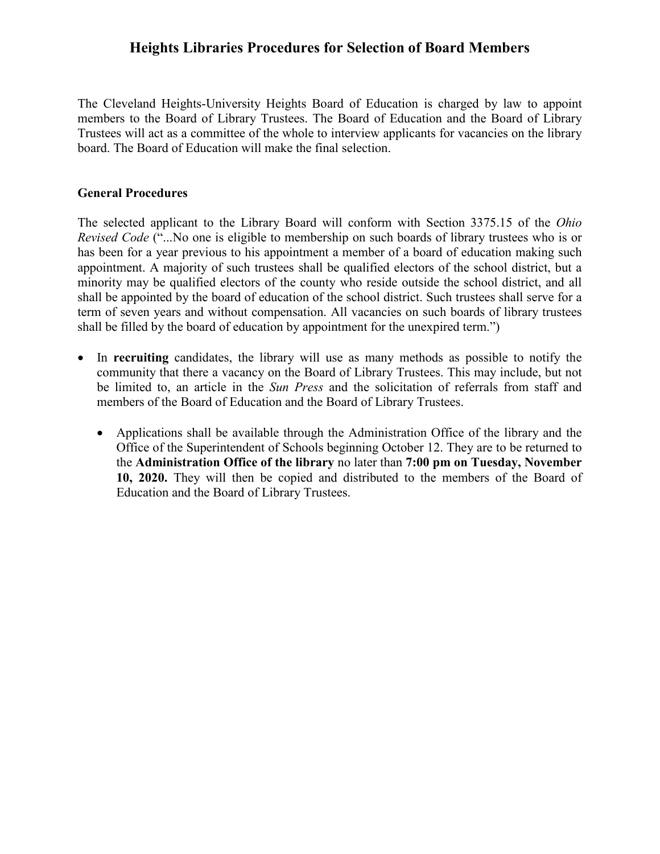## **Heights Libraries Procedures for Selection of Board Members**

The Cleveland Heights-University Heights Board of Education is charged by law to appoint members to the Board of Library Trustees. The Board of Education and the Board of Library Trustees will act as a committee of the whole to interview applicants for vacancies on the library board. The Board of Education will make the final selection.

## **General Procedures**

The selected applicant to the Library Board will conform with Section 3375.15 of the *Ohio Revised Code* ("...No one is eligible to membership on such boards of library trustees who is or has been for a year previous to his appointment a member of a board of education making such appointment. A majority of such trustees shall be qualified electors of the school district, but a minority may be qualified electors of the county who reside outside the school district, and all shall be appointed by the board of education of the school district. Such trustees shall serve for a term of seven years and without compensation. All vacancies on such boards of library trustees shall be filled by the board of education by appointment for the unexpired term.")

- In **recruiting** candidates, the library will use as many methods as possible to notify the community that there a vacancy on the Board of Library Trustees. This may include, but not be limited to, an article in the *Sun Press* and the solicitation of referrals from staff and members of the Board of Education and the Board of Library Trustees.
	- Applications shall be available through the Administration Office of the library and the Office of the Superintendent of Schools beginning October 12. They are to be returned to the **Administration Office of the library** no later than **7:00 pm on Tuesday, November 10, 2020.** They will then be copied and distributed to the members of the Board of Education and the Board of Library Trustees.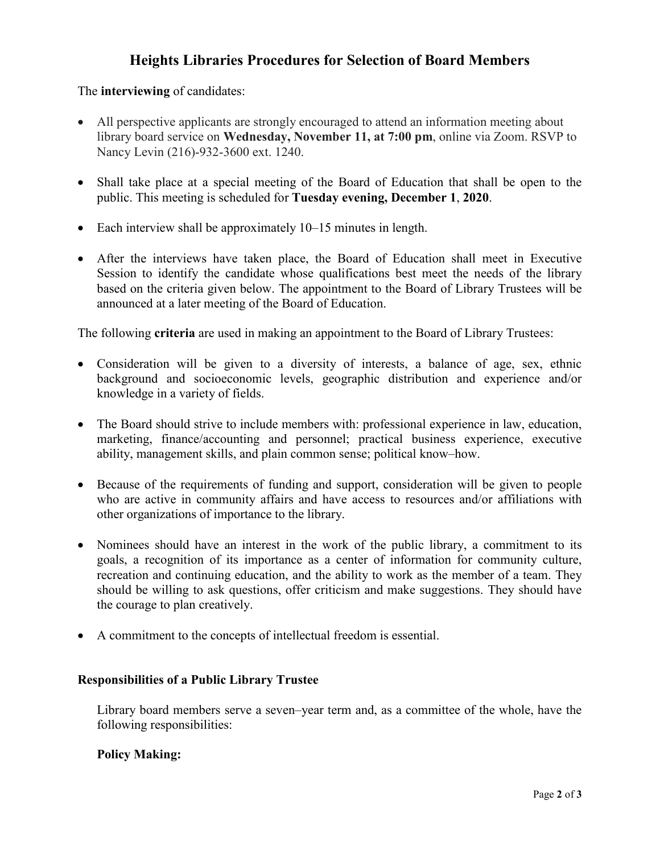# **Heights Libraries Procedures for Selection of Board Members**

The **interviewing** of candidates:

- All perspective applicants are strongly encouraged to attend an information meeting about library board service on **Wednesday, November 11, at 7:00 pm**, online via Zoom. RSVP to Nancy Levin (216)-932-3600 ext. 1240.
- Shall take place at a special meeting of the Board of Education that shall be open to the public. This meeting is scheduled for **Tuesday evening, December 1**, **2020**.
- Each interview shall be approximately 10–15 minutes in length.
- After the interviews have taken place, the Board of Education shall meet in Executive Session to identify the candidate whose qualifications best meet the needs of the library based on the criteria given below. The appointment to the Board of Library Trustees will be announced at a later meeting of the Board of Education.

The following **criteria** are used in making an appointment to the Board of Library Trustees:

- Consideration will be given to a diversity of interests, a balance of age, sex, ethnic background and socioeconomic levels, geographic distribution and experience and/or knowledge in a variety of fields.
- The Board should strive to include members with: professional experience in law, education, marketing, finance/accounting and personnel; practical business experience, executive ability, management skills, and plain common sense; political know–how.
- Because of the requirements of funding and support, consideration will be given to people who are active in community affairs and have access to resources and/or affiliations with other organizations of importance to the library.
- Nominees should have an interest in the work of the public library, a commitment to its goals, a recognition of its importance as a center of information for community culture, recreation and continuing education, and the ability to work as the member of a team. They should be willing to ask questions, offer criticism and make suggestions. They should have the courage to plan creatively.
- A commitment to the concepts of intellectual freedom is essential.

## **Responsibilities of a Public Library Trustee**

Library board members serve a seven–year term and, as a committee of the whole, have the following responsibilities:

## **Policy Making:**